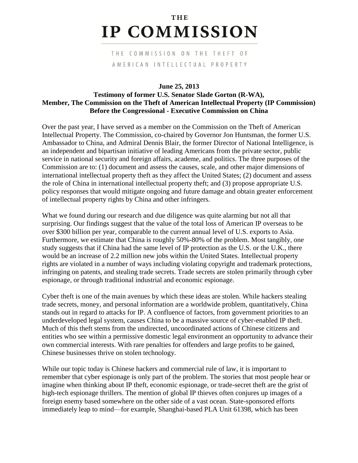## **THE IP COMMISSION**

## THE COMMISSION ON THE THEFT OF AMERICAN INTELLECTUAL PROPERTY

## **June 25, 2013 Testimony of former U.S. Senator Slade Gorton (R-WA), Member, The Commission on the Theft of American Intellectual Property (IP Commission) Before the Congressional - Executive Commission on China**

Over the past year, I have served as a member on the Commission on the Theft of American Intellectual Property. The Commission, co-chaired by Governor Jon Huntsman, the former U.S. Ambassador to China, and Admiral Dennis Blair, the former Director of National Intelligence, is an independent and bipartisan initiative of leading Americans from the private sector, public service in national security and foreign affairs, academe, and politics. The three purposes of the Commission are to: (1) document and assess the causes, scale, and other major dimensions of international intellectual property theft as they affect the United States; (2) document and assess the role of China in international intellectual property theft; and (3) propose appropriate U.S. policy responses that would mitigate ongoing and future damage and obtain greater enforcement of intellectual property rights by China and other infringers.

What we found during our research and due diligence was quite alarming but not all that surprising. Our findings suggest that the value of the total loss of American IP overseas to be over \$300 billion per year, comparable to the current annual level of U.S. exports to Asia. Furthermore, we estimate that China is roughly 50%-80% of the problem. Most tangibly, one study suggests that if China had the same level of IP protection as the U.S. or the U.K., there would be an increase of 2.2 million new jobs within the United States. Intellectual property rights are violated in a number of ways including violating copyright and trademark protections, infringing on patents, and stealing trade secrets. Trade secrets are stolen primarily through cyber espionage, or through traditional industrial and economic espionage.

Cyber theft is one of the main avenues by which these ideas are stolen. While hackers stealing trade secrets, money, and personal information are a worldwide problem, quantitatively, China stands out in regard to attacks for IP. A confluence of factors, from government priorities to an underdeveloped legal system, causes China to be a massive source of cyber-enabled IP theft. Much of this theft stems from the undirected, uncoordinated actions of Chinese citizens and entities who see within a permissive domestic legal environment an opportunity to advance their own commercial interests. With rare penalties for offenders and large profits to be gained, Chinese businesses thrive on stolen technology.

While our topic today is Chinese hackers and commercial rule of law, it is important to remember that cyber espionage is only part of the problem. The stories that most people hear or imagine when thinking about IP theft, economic espionage, or trade-secret theft are the grist of high-tech espionage thrillers. The mention of global IP thieves often conjures up images of a foreign enemy based somewhere on the other side of a vast ocean. State-sponsored efforts immediately leap to mind—for example, Shanghai-based PLA Unit 61398, which has been